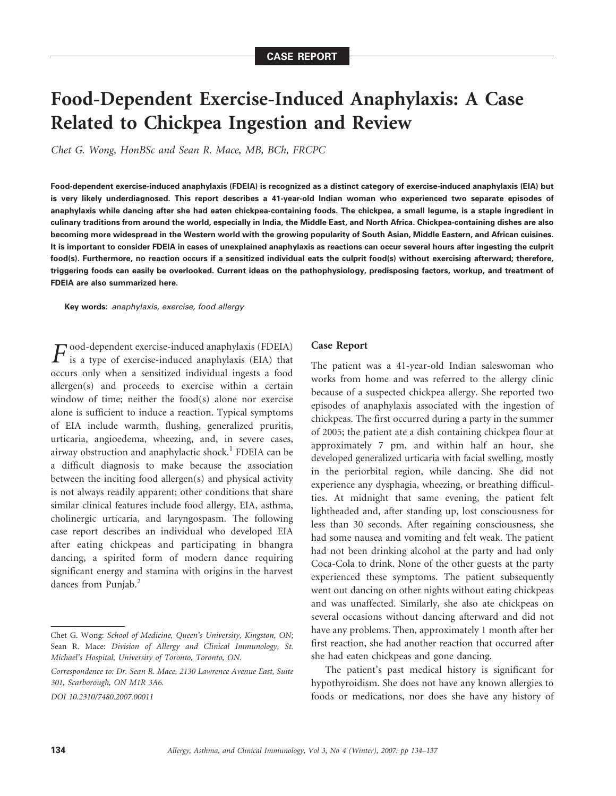## Food-Dependent Exercise-Induced Anaphylaxis: A Case Related to Chickpea Ingestion and Review

Chet G. Wong, HonBSc and Sean R. Mace, MB, BCh, FRCPC

Food-dependent exercise-induced anaphylaxis (FDEIA) is recognized as a distinct category of exercise-induced anaphylaxis (EIA) but is very likely underdiagnosed. This report describes a 41-year-old Indian woman who experienced two separate episodes of anaphylaxis while dancing after she had eaten chickpea-containing foods. The chickpea, a small legume, is a staple ingredient in culinary traditions from around the world, especially in India, the Middle East, and North Africa. Chickpea-containing dishes are also becoming more widespread in the Western world with the growing popularity of South Asian, Middle Eastern, and African cuisines. It is important to consider FDEIA in cases of unexplained anaphylaxis as reactions can occur several hours after ingesting the culprit food(s). Furthermore, no reaction occurs if a sensitized individual eats the culprit food(s) without exercising afterward; therefore, triggering foods can easily be overlooked. Current ideas on the pathophysiology, predisposing factors, workup, and treatment of FDEIA are also summarized here.

Key words: anaphylaxis, exercise, food allergy

 $F$  is a type of exercise-induced anaphylaxis (FDEIA) that is a type of exercise-induced anaphylaxis (EIA) that occurs only when a sensitized individual ingests a food allergen(s) and proceeds to exercise within a certain window of time; neither the food(s) alone nor exercise alone is sufficient to induce a reaction. Typical symptoms of EIA include warmth, flushing, generalized pruritis, urticaria, angioedema, wheezing, and, in severe cases, airway obstruction and anaphylactic shock.<sup>1</sup> FDEIA can be a difficult diagnosis to make because the association between the inciting food allergen(s) and physical activity is not always readily apparent; other conditions that share similar clinical features include food allergy, EIA, asthma, cholinergic urticaria, and laryngospasm. The following case report describes an individual who developed EIA after eating chickpeas and participating in bhangra dancing, a spirited form of modern dance requiring significant energy and stamina with origins in the harvest dances from Punjab.<sup>2</sup>

## Case Report

The patient was a 41-year-old Indian saleswoman who works from home and was referred to the allergy clinic because of a suspected chickpea allergy. She reported two episodes of anaphylaxis associated with the ingestion of chickpeas. The first occurred during a party in the summer of 2005; the patient ate a dish containing chickpea flour at approximately 7 pm, and within half an hour, she developed generalized urticaria with facial swelling, mostly in the periorbital region, while dancing. She did not experience any dysphagia, wheezing, or breathing difficulties. At midnight that same evening, the patient felt lightheaded and, after standing up, lost consciousness for less than 30 seconds. After regaining consciousness, she had some nausea and vomiting and felt weak. The patient had not been drinking alcohol at the party and had only Coca-Cola to drink. None of the other guests at the party experienced these symptoms. The patient subsequently went out dancing on other nights without eating chickpeas and was unaffected. Similarly, she also ate chickpeas on several occasions without dancing afterward and did not have any problems. Then, approximately 1 month after her first reaction, she had another reaction that occurred after she had eaten chickpeas and gone dancing.

The patient's past medical history is significant for hypothyroidism. She does not have any known allergies to foods or medications, nor does she have any history of

Chet G. Wong: School of Medicine, Queen's University, Kingston, ON; Sean R. Mace: Division of Allergy and Clinical Immunology, St. Michael's Hospital, University of Toronto, Toronto, ON.

Correspondence to: Dr. Sean R. Mace, 2130 Lawrence Avenue East, Suite 301, Scarborough, ON M1R 3A6.

DOI 10.2310/7480.2007.00011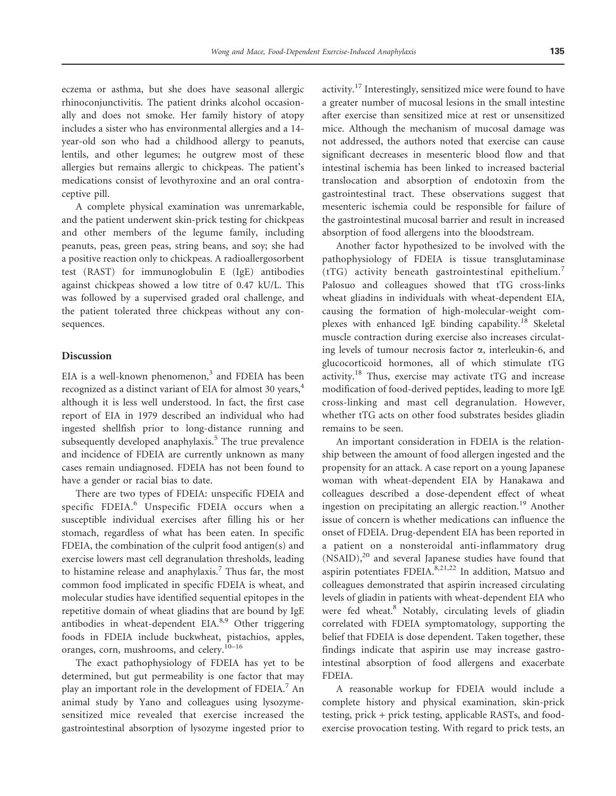eczema or asthma, but she does have seasonal allergic rhinoconjunctivitis. The patient drinks alcohol occasionally and does not smoke. Her family history of atopy includes a sister who has environmental allergies and a 14 year-old son who had a childhood allergy to peanuts, lentils, and other legumes; he outgrew most of these allergies but remains allergic to chickpeas. The patient's medications consist of levothyroxine and an oral contraceptive pill.

A complete physical examination was unremarkable, and the patient underwent skin-prick testing for chickpeas and other members of the legume family, including peanuts, peas, green peas, string beans, and soy; she had a positive reaction only to chickpeas. A radioallergosorbent test (RAST) for immunoglobulin E (IgE) antibodies against chickpeas showed a low titre of 0.47 kU/L. This was followed by a supervised graded oral challenge, and the patient tolerated three chickpeas without any consequences.

## Discussion

EIA is a well-known phenomenon,<sup>3</sup> and FDEIA has been recognized as a distinct variant of EIA for almost 30 years,<sup>4</sup> although it is less well understood. In fact, the first case report of EIA in 1979 described an individual who had ingested shellfish prior to long-distance running and subsequently developed anaphylaxis.<sup>5</sup> The true prevalence and incidence of FDEIA are currently unknown as many cases remain undiagnosed. FDEIA has not been found to have a gender or racial bias to date.

There are two types of FDEIA: unspecific FDEIA and specific FDEIA.<sup>6</sup> Unspecific FDEIA occurs when a susceptible individual exercises after filling his or her stomach, regardless of what has been eaten. In specific FDEIA, the combination of the culprit food antigen(s) and exercise lowers mast cell degranulation thresholds, leading to histamine release and anaphylaxis.<sup>7</sup> Thus far, the most common food implicated in specific FDEIA is wheat, and molecular studies have identified sequential epitopes in the repetitive domain of wheat gliadins that are bound by IgE antibodies in wheat-dependent  $EIA.<sup>8,9</sup>$  Other triggering foods in FDEIA include buckwheat, pistachios, apples, oranges, corn, mushrooms, and celery.<sup>10–16</sup>

The exact pathophysiology of FDEIA has yet to be determined, but gut permeability is one factor that may play an important role in the development of FDEIA.<sup>7</sup> An animal study by Yano and colleagues using lysozymesensitized mice revealed that exercise increased the gastrointestinal absorption of lysozyme ingested prior to activity.<sup>17</sup> Interestingly, sensitized mice were found to have a greater number of mucosal lesions in the small intestine after exercise than sensitized mice at rest or unsensitized mice. Although the mechanism of mucosal damage was not addressed, the authors noted that exercise can cause significant decreases in mesenteric blood flow and that intestinal ischemia has been linked to increased bacterial translocation and absorption of endotoxin from the gastrointestinal tract. These observations suggest that mesenteric ischemia could be responsible for failure of the gastrointestinal mucosal barrier and result in increased absorption of food allergens into the bloodstream.

Another factor hypothesized to be involved with the pathophysiology of FDEIA is tissue transglutaminase (tTG) activity beneath gastrointestinal epithelium.<sup>7</sup> Palosuo and colleagues showed that tTG cross-links wheat gliadins in individuals with wheat-dependent EIA, causing the formation of high-molecular-weight complexes with enhanced IgE binding capability.<sup>18</sup> Skeletal muscle contraction during exercise also increases circulating levels of tumour necrosis factor  $\alpha$ , interleukin-6, and glucocorticoid hormones, all of which stimulate tTG activity.<sup>18</sup> Thus, exercise may activate tTG and increase modification of food-derived peptides, leading to more IgE cross-linking and mast cell degranulation. However, whether tTG acts on other food substrates besides gliadin remains to be seen.

An important consideration in FDEIA is the relationship between the amount of food allergen ingested and the propensity for an attack. A case report on a young Japanese woman with wheat-dependent EIA by Hanakawa and colleagues described a dose-dependent effect of wheat ingestion on precipitating an allergic reaction.<sup>19</sup> Another issue of concern is whether medications can influence the onset of FDEIA. Drug-dependent EIA has been reported in a patient on a nonsteroidal anti-inflammatory drug (NSAID),<sup>20</sup> and several Japanese studies have found that aspirin potentiates FDEIA. $8,21,22$  In addition, Matsuo and colleagues demonstrated that aspirin increased circulating levels of gliadin in patients with wheat-dependent EIA who were fed wheat.<sup>8</sup> Notably, circulating levels of gliadin correlated with FDEIA symptomatology, supporting the belief that FDEIA is dose dependent. Taken together, these findings indicate that aspirin use may increase gastrointestinal absorption of food allergens and exacerbate FDEIA.

A reasonable workup for FDEIA would include a complete history and physical examination, skin-prick testing, prick + prick testing, applicable RASTs, and foodexercise provocation testing. With regard to prick tests, an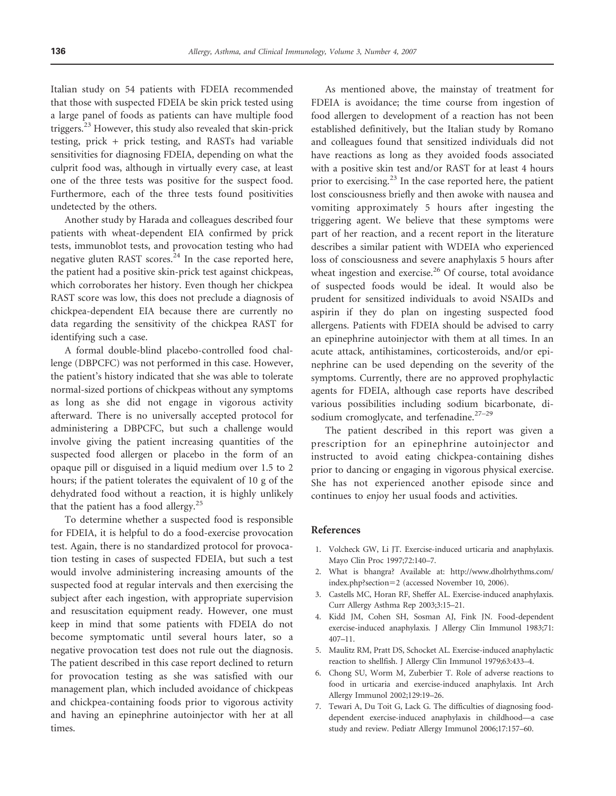Italian study on 54 patients with FDEIA recommended that those with suspected FDEIA be skin prick tested using a large panel of foods as patients can have multiple food triggers.<sup>23</sup> However, this study also revealed that skin-prick testing, prick + prick testing, and RASTs had variable sensitivities for diagnosing FDEIA, depending on what the culprit food was, although in virtually every case, at least one of the three tests was positive for the suspect food. Furthermore, each of the three tests found positivities undetected by the others.

Another study by Harada and colleagues described four patients with wheat-dependent EIA confirmed by prick tests, immunoblot tests, and provocation testing who had negative gluten RAST scores. $^{24}$  In the case reported here, the patient had a positive skin-prick test against chickpeas, which corroborates her history. Even though her chickpea RAST score was low, this does not preclude a diagnosis of chickpea-dependent EIA because there are currently no data regarding the sensitivity of the chickpea RAST for identifying such a case.

A formal double-blind placebo-controlled food challenge (DBPCFC) was not performed in this case. However, the patient's history indicated that she was able to tolerate normal-sized portions of chickpeas without any symptoms as long as she did not engage in vigorous activity afterward. There is no universally accepted protocol for administering a DBPCFC, but such a challenge would involve giving the patient increasing quantities of the suspected food allergen or placebo in the form of an opaque pill or disguised in a liquid medium over 1.5 to 2 hours; if the patient tolerates the equivalent of 10 g of the dehydrated food without a reaction, it is highly unlikely that the patient has a food allergy.<sup>25</sup>

To determine whether a suspected food is responsible for FDEIA, it is helpful to do a food-exercise provocation test. Again, there is no standardized protocol for provocation testing in cases of suspected FDEIA, but such a test would involve administering increasing amounts of the suspected food at regular intervals and then exercising the subject after each ingestion, with appropriate supervision and resuscitation equipment ready. However, one must keep in mind that some patients with FDEIA do not become symptomatic until several hours later, so a negative provocation test does not rule out the diagnosis. The patient described in this case report declined to return for provocation testing as she was satisfied with our management plan, which included avoidance of chickpeas and chickpea-containing foods prior to vigorous activity and having an epinephrine autoinjector with her at all times.

As mentioned above, the mainstay of treatment for FDEIA is avoidance; the time course from ingestion of food allergen to development of a reaction has not been established definitively, but the Italian study by Romano and colleagues found that sensitized individuals did not have reactions as long as they avoided foods associated with a positive skin test and/or RAST for at least 4 hours prior to exercising. $^{23}$  In the case reported here, the patient lost consciousness briefly and then awoke with nausea and vomiting approximately 5 hours after ingesting the triggering agent. We believe that these symptoms were part of her reaction, and a recent report in the literature describes a similar patient with WDEIA who experienced loss of consciousness and severe anaphylaxis 5 hours after wheat ingestion and exercise.<sup>26</sup> Of course, total avoidance of suspected foods would be ideal. It would also be prudent for sensitized individuals to avoid NSAIDs and aspirin if they do plan on ingesting suspected food allergens. Patients with FDEIA should be advised to carry an epinephrine autoinjector with them at all times. In an acute attack, antihistamines, corticosteroids, and/or epinephrine can be used depending on the severity of the symptoms. Currently, there are no approved prophylactic agents for FDEIA, although case reports have described various possibilities including sodium bicarbonate, disodium cromoglycate, and terfenadine.<sup>27-29</sup>

The patient described in this report was given a prescription for an epinephrine autoinjector and instructed to avoid eating chickpea-containing dishes prior to dancing or engaging in vigorous physical exercise. She has not experienced another episode since and continues to enjoy her usual foods and activities.

## References

- 1. Volcheck GW, Li JT. Exercise-induced urticaria and anaphylaxis. Mayo Clin Proc 1997;72:140–7.
- 2. What is bhangra? Available at: http://www.dholrhythms.com/ index.php?section=2 (accessed November 10, 2006).
- 3. Castells MC, Horan RF, Sheffer AL. Exercise-induced anaphylaxis. Curr Allergy Asthma Rep 2003;3:15–21.
- 4. Kidd JM, Cohen SH, Sosman AJ, Fink JN. Food-dependent exercise-induced anaphylaxis. J Allergy Clin Immunol 1983;71: 407–11.
- 5. Maulitz RM, Pratt DS, Schocket AL. Exercise-induced anaphylactic reaction to shellfish. J Allergy Clin Immunol 1979;63:433–4.
- 6. Chong SU, Worm M, Zuberbier T. Role of adverse reactions to food in urticaria and exercise-induced anaphylaxis. Int Arch Allergy Immunol 2002;129:19–26.
- 7. Tewari A, Du Toit G, Lack G. The difficulties of diagnosing fooddependent exercise-induced anaphylaxis in childhood—a case study and review. Pediatr Allergy Immunol 2006;17:157–60.